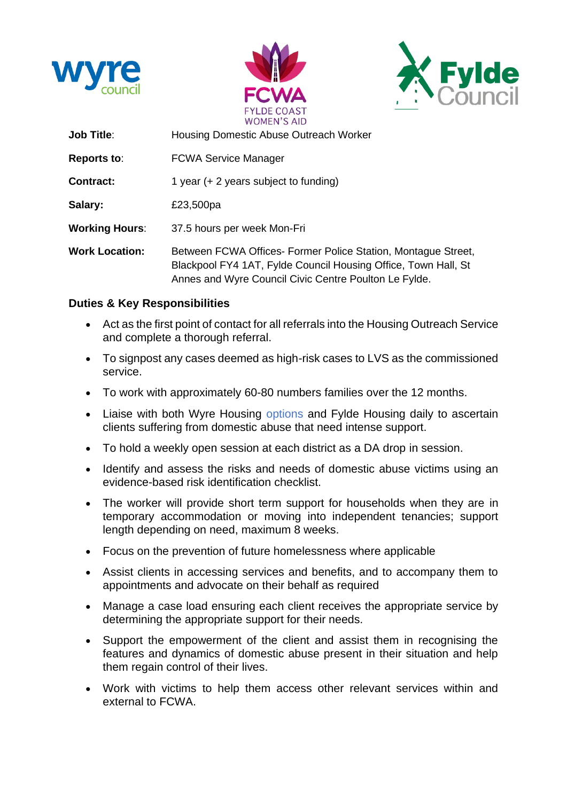





| <b>Job Title:</b>     | Housing Domestic Abuse Outreach Worker                                                                                                                                                   |
|-----------------------|------------------------------------------------------------------------------------------------------------------------------------------------------------------------------------------|
| <b>Reports to:</b>    | <b>FCWA Service Manager</b>                                                                                                                                                              |
| <b>Contract:</b>      | 1 year $(+ 2$ years subject to funding)                                                                                                                                                  |
| Salary:               | £23,500pa                                                                                                                                                                                |
| <b>Working Hours:</b> | 37.5 hours per week Mon-Fri                                                                                                                                                              |
| <b>Work Location:</b> | Between FCWA Offices- Former Police Station, Montague Street,<br>Blackpool FY4 1AT, Fylde Council Housing Office, Town Hall, St<br>Annes and Wyre Council Civic Centre Poulton Le Fylde. |

### **Duties & Key Responsibilities**

- Act as the first point of contact for all referrals into the Housing Outreach Service and complete a thorough referral.
- To signpost any cases deemed as high-risk cases to LVS as the commissioned service.
- To work with approximately 60-80 numbers families over the 12 months.
- Liaise with both Wyre Housing options and Fylde Housing daily to ascertain clients suffering from domestic abuse that need intense support.
- To hold a weekly open session at each district as a DA drop in session.
- Identify and assess the risks and needs of domestic abuse victims using an evidence-based risk identification checklist.
- The worker will provide short term support for households when they are in temporary accommodation or moving into independent tenancies; support length depending on need, maximum 8 weeks.
- Focus on the prevention of future homelessness where applicable
- Assist clients in accessing services and benefits, and to accompany them to appointments and advocate on their behalf as required
- Manage a case load ensuring each client receives the appropriate service by determining the appropriate support for their needs.
- Support the empowerment of the client and assist them in recognising the features and dynamics of domestic abuse present in their situation and help them regain control of their lives.
- Work with victims to help them access other relevant services within and external to FCWA.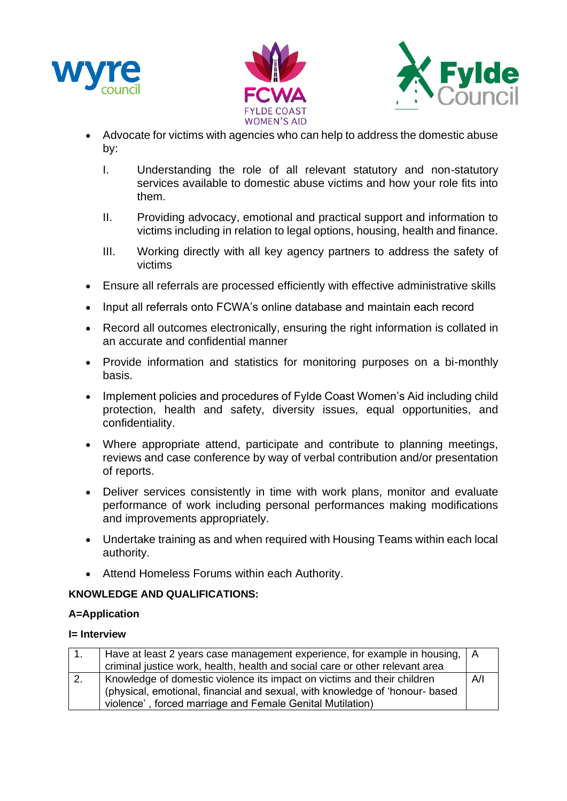





- Advocate for victims with agencies who can help to address the domestic abuse by:
	- I. Understanding the role of all relevant statutory and non-statutory services available to domestic abuse victims and how your role fits into them.
	- II. Providing advocacy, emotional and practical support and information to victims including in relation to legal options, housing, health and finance.
	- III. Working directly with all key agency partners to address the safety of victims
- Ensure all referrals are processed efficiently with effective administrative skills
- Input all referrals onto FCWA's online database and maintain each record
- Record all outcomes electronically, ensuring the right information is collated in an accurate and confidential manner
- Provide information and statistics for monitoring purposes on a bi-monthly basis.
- Implement policies and procedures of Fylde Coast Women's Aid including child protection, health and safety, diversity issues, equal opportunities, and confidentiality.
- Where appropriate attend, participate and contribute to planning meetings, reviews and case conference by way of verbal contribution and/or presentation of reports.
- Deliver services consistently in time with work plans, monitor and evaluate performance of work including personal performances making modifications and improvements appropriately.
- Undertake training as and when required with Housing Teams within each local authority.
- Attend Homeless Forums within each Authority.

## **KNOWLEDGE AND QUALIFICATIONS:**

#### **A=Application**

#### **I= Interview**

| $-1.$            | Have at least 2 years case management experience, for example in housing,   A<br>criminal justice work, health, health and social care or other relevant area |  |
|------------------|---------------------------------------------------------------------------------------------------------------------------------------------------------------|--|
|                  |                                                                                                                                                               |  |
| $\overline{2}$ . | Knowledge of domestic violence its impact on victims and their children                                                                                       |  |
|                  | (physical, emotional, financial and sexual, with knowledge of 'honour- based                                                                                  |  |
|                  | violence', forced marriage and Female Genital Mutilation)                                                                                                     |  |